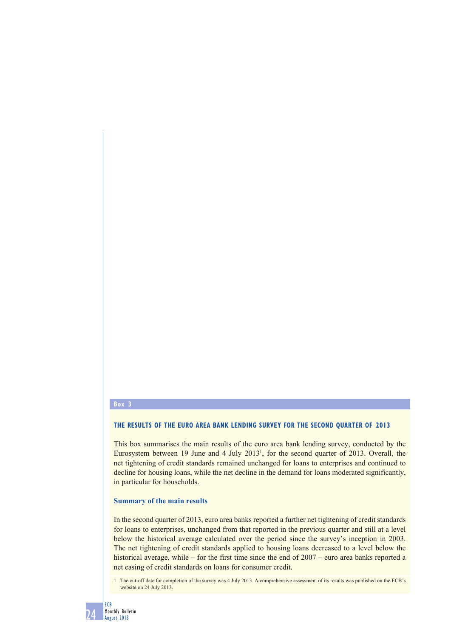#### **Box 3**

## **THE RESULTS OF THE EURO AREA BANK LENDING SURVEY FOR THE SECOND QUARTER OF 2013**

This box summarises the main results of the euro area bank lending survey, conducted by the Eurosystem between 19 June and 4 July 20131 , for the second quarter of 2013. Overall, the net tightening of credit standards remained unchanged for loans to enterprises and continued to decline for housing loans, while the net decline in the demand for loans moderated significantly, in particular for households.

#### **Summary of the main results**

In the second quarter of 2013, euro area banks reported a further net tightening of credit standards for loans to enterprises, unchanged from that reported in the previous quarter and still at a level below the historical average calculated over the period since the survey's inception in 2003. The net tightening of credit standards applied to housing loans decreased to a level below the historical average, while – for the first time since the end of 2007 – euro area banks reported a net easing of credit standards on loans for consumer credit.

1 The cut-off date for completion of the survey was 4 July 2013. A comprehensive assessment of its results was published on the ECB's website on 24 July 2013.

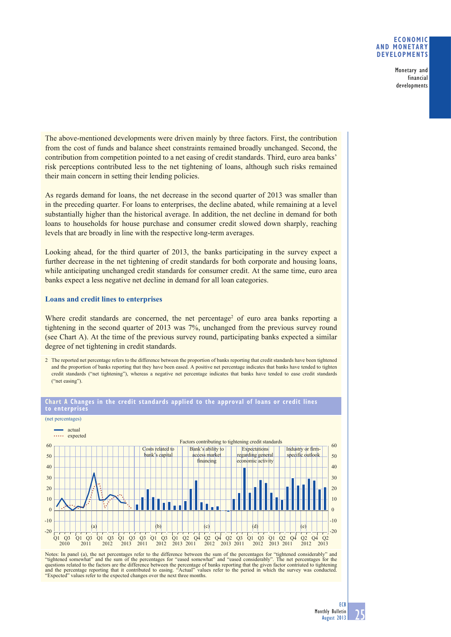Monetary and financial developments

The above-mentioned developments were driven mainly by three factors. First, the contribution from the cost of funds and balance sheet constraints remained broadly unchanged. Second, the contribution from competition pointed to a net easing of credit standards. Third, euro area banks' risk perceptions contributed less to the net tightening of loans, although such risks remained their main concern in setting their lending policies.

As regards demand for loans, the net decrease in the second quarter of 2013 was smaller than in the preceding quarter. For loans to enterprises, the decline abated, while remaining at a level substantially higher than the historical average. In addition, the net decline in demand for both loans to households for house purchase and consumer credit slowed down sharply, reaching levels that are broadly in line with the respective long-term averages.

Looking ahead, for the third quarter of 2013, the banks participating in the survey expect a further decrease in the net tightening of credit standards for both corporate and housing loans, while anticipating unchanged credit standards for consumer credit. At the same time, euro area banks expect a less negative net decline in demand for all loan categories.

#### **Loans and credit lines to enterprises**

Where credit standards are concerned, the net percentage<sup>2</sup> of euro area banks reporting a tightening in the second quarter of 2013 was 7%, unchanged from the previous survey round (see Chart A). At the time of the previous survey round, participating banks expected a similar degree of net tightening in credit standards.

2 The reported net percentage refers to the difference between the proportion of banks reporting that credit standards have been tightened and the proportion of banks reporting that they have been eased. A positive net percentage indicates that banks have tended to tighten credit standards ("net tightening"), whereas a negative net percentage indicates that banks have tended to ease credit standards ("net easing")



**Chart A Changes in the credit standards applied to the approval of loans or credit lines to enterprises**

Notes: In panel (a), the net percentages refer to the difference between the sum of the percentages for "tightened considerably" and "tightened somewhat" and the sum of the percentages for teased somewhat" and the sum of t "Expected" values refer to the expected changes over the next three months.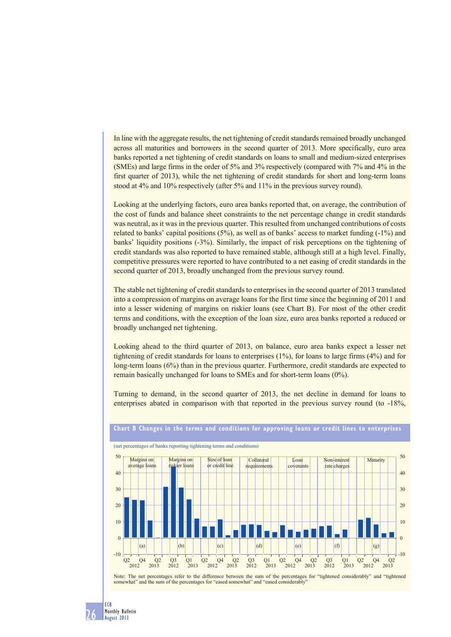In line with the aggregate results, the net tightening of credit standards remained broadly unchanged across all maturities and borrowers in the second quarter of 2013. More specifically, euro area banks reported a net tightening of credit standards on loans to small and medium-sized enterprises (SMEs) and large firms in the order of 5% and 3% respectively (compared with 7% and 4% in the first quarter of 2013), while the net tightening of credit standards for short and long-term loans stood at 4% and 10% respectively (after 5% and 11% in the previous survey round).

Looking at the underlying factors, euro area banks reported that, on average, the contribution of the cost of funds and balance sheet constraints to the net percentage change in credit standards was neutral, as it was in the previous quarter. This resulted from unchanged contributions of costs related to banks' capital positions (5%), as well as of banks' access to market funding (-1%) and banks' liquidity positions (-3%). Similarly, the impact of risk perceptions on the tightening of credit standards was also reported to have remained stable, although still at a high level. Finally, competitive pressures were reported to have contributed to a net easing of credit standards in the second quarter of 2013, broadly unchanged from the previous survey round.

The stable net tightening of credit standards to enterprises in the second quarter of 2013 translated into a compression of margins on average loans for the first time since the beginning of 2011 and into a lesser widening of margins on riskier loans (see Chart B). For most of the other credit terms and conditions, with the exception of the loan size, euro area banks reported a reduced or broadly unchanged net tightening.

Looking ahead to the third quarter of 2013, on balance, euro area banks expect a lesser net tightening of credit standards for loans to enterprises (1%), for loans to large firms (4%) and for long-term loans (6%) than in the previous quarter. Furthermore, credit standards are expected to remain basically unchanged for loans to SMEs and for short-term loans (0%).

Turning to demand, in the second quarter of 2013, the net decline in demand for loans to enterprises abated in comparison with that reported in the previous survey round (to -18%,



## **Chart B Changes in the terms and conditions for approving loans or credit lines to enterprises**

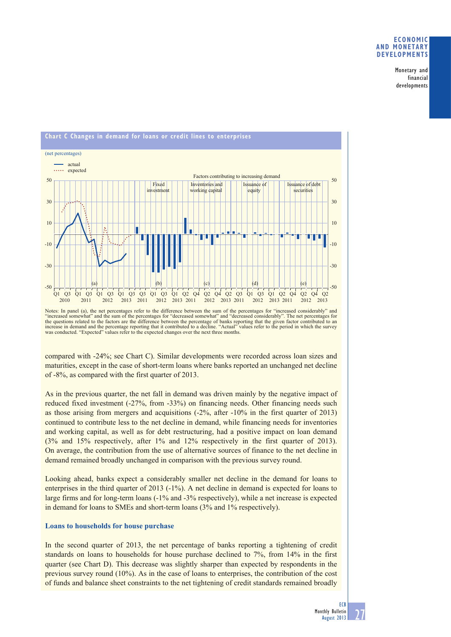Monetary and financial developments



Notes: In panel (a), the net percentages refer to the difference between the sum of the percentages for "increased considerably" and "increased somewhat" and the sum of the percentages for "decreased somewhat" and "decreased considerably". The net percentages for the questions related to the factors are the difference between the percentage of banks reporting that the given factor contributed to an increase in demand and the percentage reporting that it contributed to a decline. "A was conducted. "Expected" values refer to the expected changes over the next three months.

compared with -24%; see Chart C). Similar developments were recorded across loan sizes and maturities, except in the case of short-term loans where banks reported an unchanged net decline of -8%, as compared with the first quarter of 2013.

As in the previous quarter, the net fall in demand was driven mainly by the negative impact of reduced fixed investment (-27%, from -33%) on financing needs. Other financing needs such as those arising from mergers and acquisitions (-2%, after -10% in the first quarter of 2013) continued to contribute less to the net decline in demand, while financing needs for inventories and working capital, as well as for debt restructuring, had a positive impact on loan demand (3% and 15% respectively, after 1% and 12% respectively in the first quarter of 2013). On average, the contribution from the use of alternative sources of finance to the net decline in demand remained broadly unchanged in comparison with the previous survey round.

Looking ahead, banks expect a considerably smaller net decline in the demand for loans to enterprises in the third quarter of 2013 (-1%). A net decline in demand is expected for loans to large firms and for long-term loans (-1% and -3% respectively), while a net increase is expected in demand for loans to SMEs and short-term loans (3% and 1% respectively).

## **Loans to households for house purchase**

In the second quarter of 2013, the net percentage of banks reporting a tightening of credit standards on loans to households for house purchase declined to 7%, from 14% in the first quarter (see Chart D). This decrease was slightly sharper than expected by respondents in the previous survey round (10%). As in the case of loans to enterprises, the contribution of the cost of funds and balance sheet constraints to the net tightening of credit standards remained broadly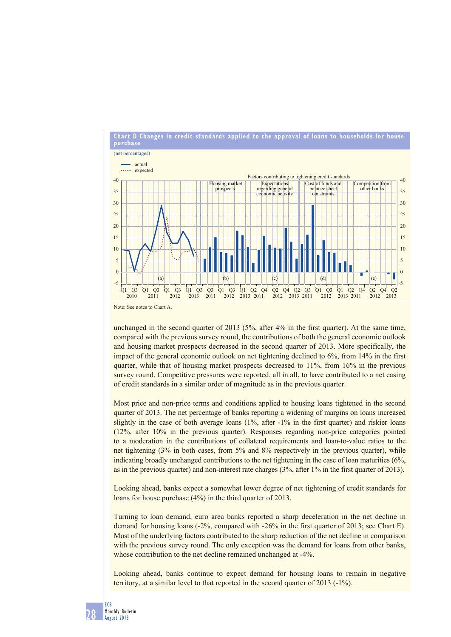

unchanged in the second quarter of 2013 (5%, after 4% in the first quarter). At the same time, compared with the previous survey round, the contributions of both the general economic outlook and housing market prospects decreased in the second quarter of 2013. More specifically, the impact of the general economic outlook on net tightening declined to 6%, from 14% in the first quarter, while that of housing market prospects decreased to 11%, from 16% in the previous survey round. Competitive pressures were reported, all in all, to have contributed to a net easing of credit standards in a similar order of magnitude as in the previous quarter.

Most price and non-price terms and conditions applied to housing loans tightened in the second quarter of 2013. The net percentage of banks reporting a widening of margins on loans increased slightly in the case of both average loans (1%, after -1% in the first quarter) and riskier loans (12%, after 10% in the previous quarter). Responses regarding non-price categories pointed to a moderation in the contributions of collateral requirements and loan-to-value ratios to the net tightening (3% in both cases, from 5% and 8% respectively in the previous quarter), while indicating broadly unchanged contributions to the net tightening in the case of loan maturities (6%, as in the previous quarter) and non-interest rate charges (3%, after 1% in the first quarter of 2013).

Looking ahead, banks expect a somewhat lower degree of net tightening of credit standards for loans for house purchase (4%) in the third quarter of 2013.

Turning to loan demand, euro area banks reported a sharp deceleration in the net decline in demand for housing loans (-2%, compared with -26% in the first quarter of 2013; see Chart E). Most of the underlying factors contributed to the sharp reduction of the net decline in comparison with the previous survey round. The only exception was the demand for loans from other banks, whose contribution to the net decline remained unchanged at  $-4\%$ .

Looking ahead, banks continue to expect demand for housing loans to remain in negative territory, at a similar level to that reported in the second quarter of 2013 (-1%).

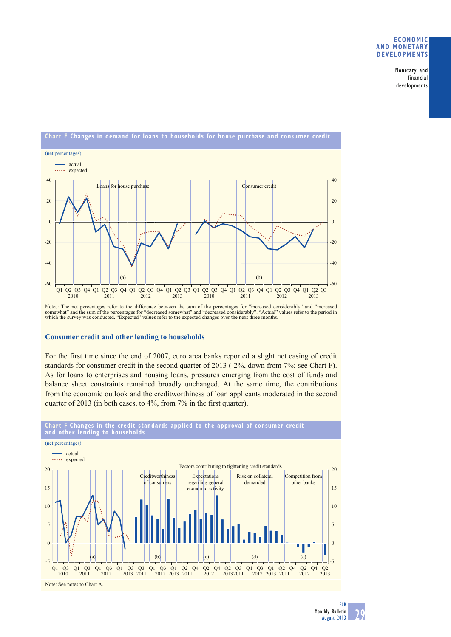Monetary and financial developments



Notes: The net percentages refer to the difference between the sum of the percentages for "increased considerably" and "increased<br>somewhat" and the sum of the percentages for "decreased somewhat" and "decreased considerabl

#### **Consumer credit and other lending to households**

For the first time since the end of 2007, euro area banks reported a slight net easing of credit standards for consumer credit in the second quarter of 2013 (-2%, down from 7%; see Chart F). As for loans to enterprises and housing loans, pressures emerging from the cost of funds and balance sheet constraints remained broadly unchanged. At the same time, the contributions from the economic outlook and the creditworthiness of loan applicants moderated in the second quarter of 2013 (in both cases, to 4%, from 7% in the first quarter).



# **Chart F Changes in the credit standards applied to the approval of consumer credit and other lending to households**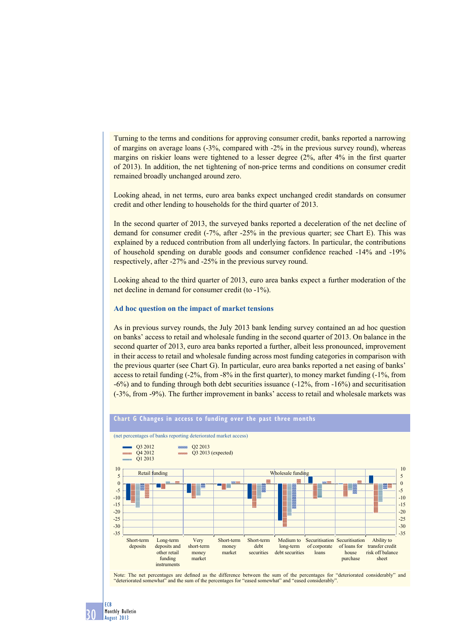Turning to the terms and conditions for approving consumer credit, banks reported a narrowing of margins on average loans (-3%, compared with -2% in the previous survey round), whereas margins on riskier loans were tightened to a lesser degree (2%, after 4% in the first quarter of 2013). In addition, the net tightening of non-price terms and conditions on consumer credit remained broadly unchanged around zero.

Looking ahead, in net terms, euro area banks expect unchanged credit standards on consumer credit and other lending to households for the third quarter of 2013.

In the second quarter of 2013, the surveyed banks reported a deceleration of the net decline of demand for consumer credit (-7%, after -25% in the previous quarter; see Chart E). This was explained by a reduced contribution from all underlying factors. In particular, the contributions of household spending on durable goods and consumer confidence reached -14% and -19% respectively, after -27% and -25% in the previous survey round.

Looking ahead to the third quarter of 2013, euro area banks expect a further moderation of the net decline in demand for consumer credit (to -1%).

#### **Ad hoc question on the impact of market tensions**

As in previous survey rounds, the July 2013 bank lending survey contained an ad hoc question on banks' access to retail and wholesale funding in the second quarter of 2013. On balance in the second quarter of 2013, euro area banks reported a further, albeit less pronounced, improvement in their access to retail and wholesale funding across most funding categories in comparison with the previous quarter (see Chart G). In particular, euro area banks reported a net easing of banks' access to retail funding (-2%, from -8% in the first quarter), to money market funding (-1%, from -6%) and to funding through both debt securities issuance (-12%, from -16%) and securitisation (-3%, from -9%). The further improvement in banks' access to retail and wholesale markets was



#### **Chart G Changes in access to funding over the past three months**

Note: The net percentages are defined as the difference between the sum of the percentages for "deteriorated considerably" and "deteriorated somewhat" and the sum of the percentages for "eased somewhat" and "eased considerably".

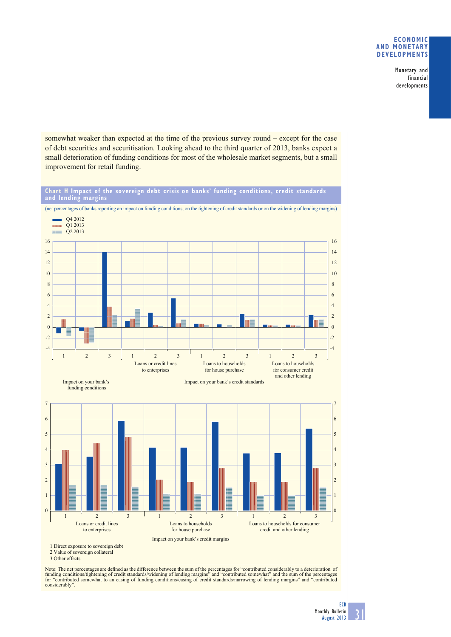Monetary and financial developments

somewhat weaker than expected at the time of the previous survey round – except for the case of debt securities and securitisation. Looking ahead to the third quarter of 2013, banks expect a small deterioration of funding conditions for most of the wholesale market segments, but a small improvement for retail funding.

**Chart H Impact of the sovereign debt crisis on banks' funding conditions, credit standards and lending margins**



<sup>2</sup> Value of sovereign collateral

Note: The net percentages are defined as the difference between the sum of the percentages for "contributed considerably to a deterioration of funding conditions/tightening of credit standards/widening of lending margins" and "contributed somewhat" and the sum of the percentages<br>for "contributed somewhat to an easing of funding conditions/easing of credit standar considerably".

31

<sup>3</sup> Other effects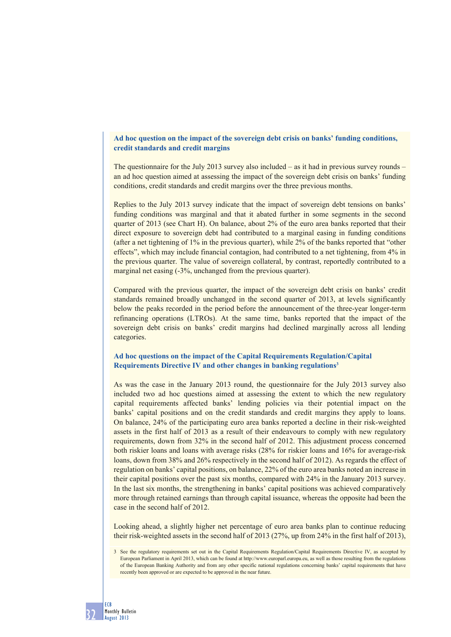## **Ad hoc question on the impact of the sovereign debt crisis on banks' funding conditions, credit standards and credit margins**

The questionnaire for the July 2013 survey also included – as it had in previous survey rounds – an ad hoc question aimed at assessing the impact of the sovereign debt crisis on banks' funding conditions, credit standards and credit margins over the three previous months.

Replies to the July 2013 survey indicate that the impact of sovereign debt tensions on banks' funding conditions was marginal and that it abated further in some segments in the second quarter of 2013 (see Chart H). On balance, about 2% of the euro area banks reported that their direct exposure to sovereign debt had contributed to a marginal easing in funding conditions (after a net tightening of 1% in the previous quarter), while 2% of the banks reported that "other effects", which may include financial contagion, had contributed to a net tightening, from 4% in the previous quarter. The value of sovereign collateral, by contrast, reportedly contributed to a marginal net easing (-3%, unchanged from the previous quarter).

Compared with the previous quarter, the impact of the sovereign debt crisis on banks' credit standards remained broadly unchanged in the second quarter of 2013, at levels significantly below the peaks recorded in the period before the announcement of the three-year longer-term refinancing operations (LTROs). At the same time, banks reported that the impact of the sovereign debt crisis on banks' credit margins had declined marginally across all lending categories.

# **Ad hoc questions on the impact of the Capital Requirements Regulation/Capital Requirements Directive IV and other changes in banking regulations3**

As was the case in the January 2013 round, the questionnaire for the July 2013 survey also included two ad hoc questions aimed at assessing the extent to which the new regulatory capital requirements affected banks' lending policies via their potential impact on the banks' capital positions and on the credit standards and credit margins they apply to loans. On balance, 24% of the participating euro area banks reported a decline in their risk-weighted assets in the first half of 2013 as a result of their endeavours to comply with new regulatory requirements, down from 32% in the second half of 2012. This adjustment process concerned both riskier loans and loans with average risks (28% for riskier loans and 16% for average-risk loans, down from 38% and 26% respectively in the second half of 2012). As regards the effect of regulation on banks' capital positions, on balance, 22% of the euro area banks noted an increase in their capital positions over the past six months, compared with 24% in the January 2013 survey. In the last six months, the strengthening in banks' capital positions was achieved comparatively more through retained earnings than through capital issuance, whereas the opposite had been the case in the second half of 2012.

Looking ahead, a slightly higher net percentage of euro area banks plan to continue reducing their risk-weighted assets in the second half of 2013 (27%, up from 24% in the first half of 2013),

<sup>3</sup> See the regulatory requirements set out in the Capital Requirements Regulation/Capital Requirements Directive IV, as accepted by European Parliament in April 2013, which can be found at http://www.europarl.europa.eu, as well as those resulting from the regulations of the European Banking Authority and from any other specific national regulations concerning banks' capital requirements that have recently been approved or are expected to be approved in the near future.